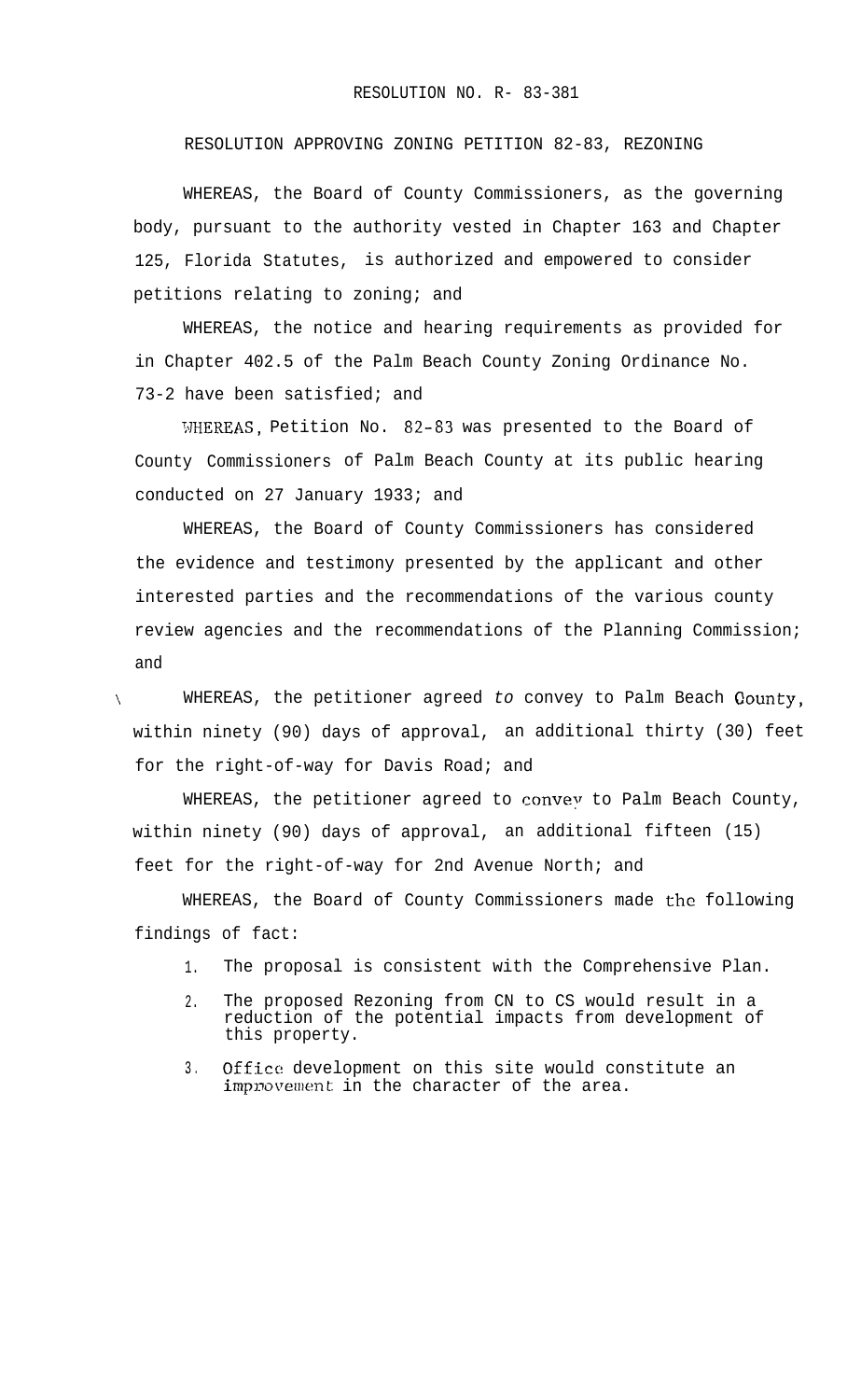## RESOLUTION NO. R- 83-381

RESOLUTION APPROVING ZONING PETITION 82-83, REZONING

WHEREAS, the Board of County Commissioners, as the governing body, pursuant to the authority vested in Chapter 163 and Chapter 125, Florida Statutes, is authorized and empowered to consider petitions relating to zoning; and

WHEREAS, the notice and hearing requirements as provided for in Chapter 402.5 of the Palm Beach County Zoning Ordinance No. 73-2 have been satisfied; and

WHEREAS, Petition No. 82-83 was presented to the Board of County Commissioners of Palm Beach County at its public hearing conducted on 27 January 1933; and

WHEREAS, the Board of County Commissioners has considered the evidence and testimony presented by the applicant and other interested parties and the recommendations of the various county review agencies and the recommendations of the Planning Commission; and

\ WHEREAS, the petitioner agreed *to* convey to Palm Beach Oounty, within ninety (90) days of approval, an additional thirty (30) feet for the right-of-way for Davis Road; and

WHEREAS, the petitioner agreed to convey to Palm Beach County, within ninety (90) days of approval, an additional fifteen (15) feet for the right-of-way for 2nd Avenue North; and

WHEREAS, the Board of County Commissioners made the following findings of fact:

1. The proposal is consistent with the Comprehensive Plan.

- 2. The proposed Rezoning from CN to CS would result in a reduction of the potential impacts from development of this property.
- 3. Office development on this site would constitute an improvement in the character of the area.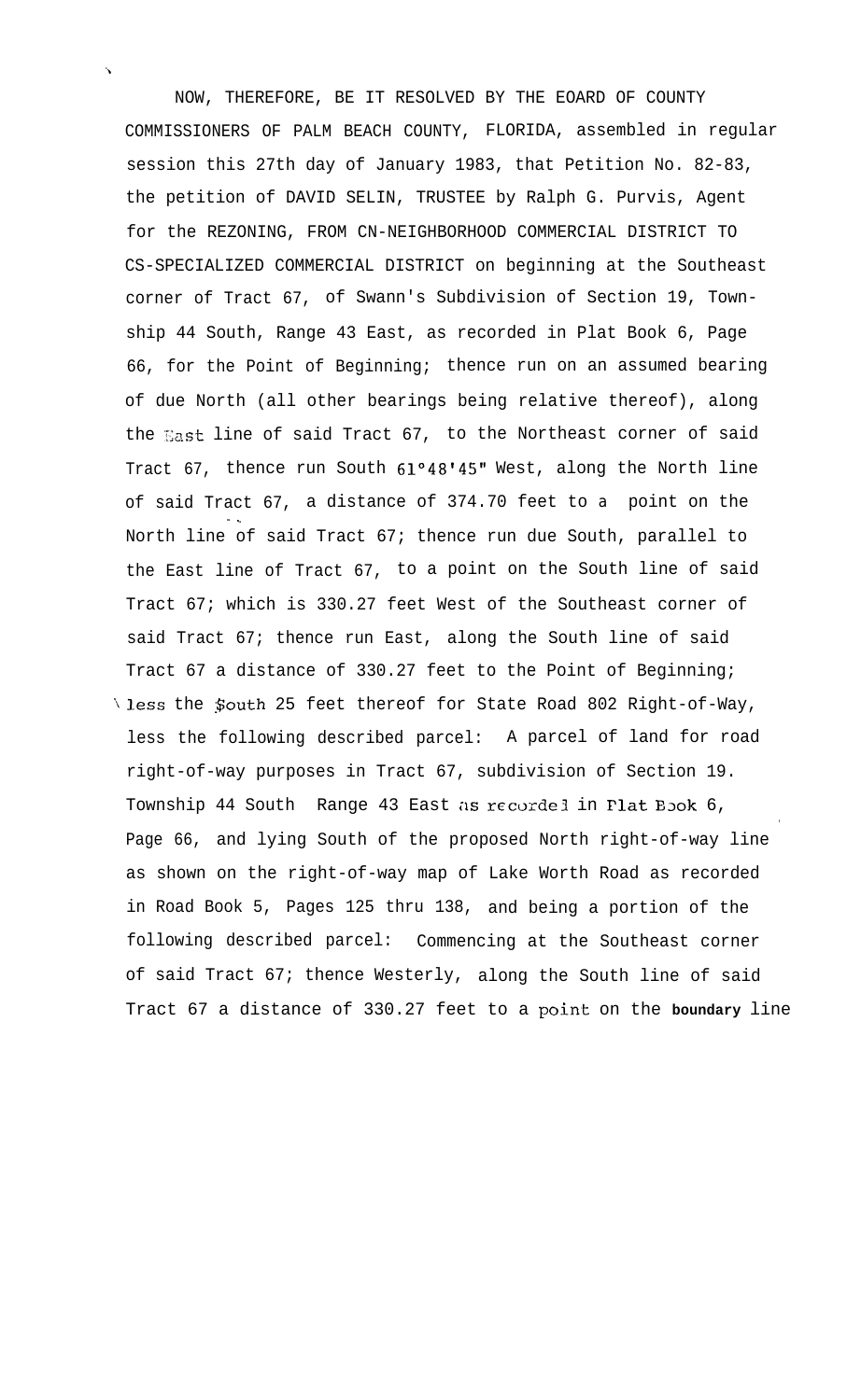NOW, THEREFORE, BE IT RESOLVED BY THE EOARD OF COUNTY COMMISSIONERS OF PALM BEACH COUNTY, FLORIDA, assembled in regular session this 27th day of January 1983, that Petition No. 82-83, the petition of DAVID SELIN, TRUSTEE by Ralph G. Purvis, Agent for the REZONING, FROM CN-NEIGHBORHOOD COMMERCIAL DISTRICT TO CS-SPECIALIZED COMMERCIAL DISTRICT on beginning at the Southeast corner of Tract 67, of Swann's Subdivision of Section 19, Township 44 South, Range 43 East, as recorded in Plat Book 6, Page 66, for the Point of Beginning; thence run on an assumed bearing of due North (all other bearings being relative thereof), along the Xast line of said Tract 67, to the Northeast corner of said Tract 67, thence run South 61°48'45" West, along the North line of said Tract 67, a distance of 374.70 feet to *a* point on the - - North line of said Tract 67; thence run due South, parallel to the East line of Tract 67, to a point on the South line of said Tract 67; which is 330.27 feet West of the Southeast corner of said Tract 67; thence run East, along the South line of said Tract 67 a distance of 330.27 feet to the Point of Beginning; \less the ;\$outh 25 feet thereof for State Road 802 Right-of-Way, less the following described parcel: A parcel of land for road right-of-way purposes in Tract 67, subdivision of Section 19. Township 44 South Range 43 East as recorded in Plat Eook 6, . Page 66, and lying South of the proposed North right-of-way line as shown on the right-of-way map of Lake Worth Road as recorded in Road Book 5, Pages 125 thru 138, and being a portion of the following described parcel: Commencing at the Southeast corner of said Tract 67; thence Westerly, along the South line of said Tract 67 a distance of 330.27 feet to a point on the boundary line